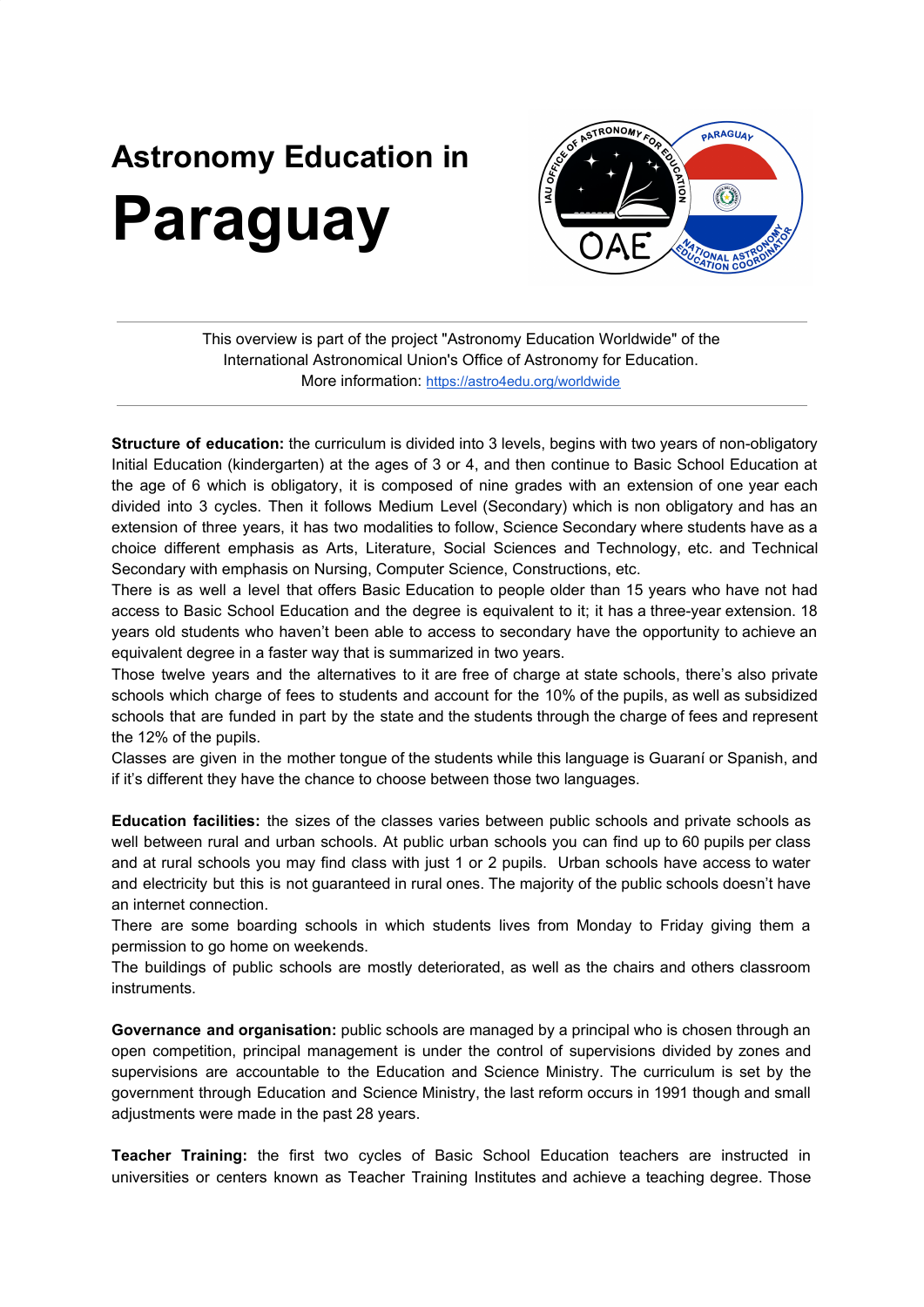## **Astronomy Education in Paraguay**



This overview is part of the project "Astronomy Education Worldwide" of the International Astronomical Union's Office of Astronomy for Education. More information: <https://astro4edu.org/worldwide>

**Structure of education:** the curriculum is divided into 3 levels, begins with two years of non-obligatory Initial Education (kindergarten) at the ages of 3 or 4, and then continue to Basic School Education at the age of 6 which is obligatory, it is composed of nine grades with an extension of one year each divided into 3 cycles. Then it follows Medium Level (Secondary) which is non obligatory and has an extension of three years, it has two modalities to follow, Science Secondary where students have as a choice different emphasis as Arts, Literature, Social Sciences and Technology, etc. and Technical Secondary with emphasis on Nursing, Computer Science, Constructions, etc.

There is as well a level that offers Basic Education to people older than 15 years who have not had access to Basic School Education and the degree is equivalent to it; it has a three-year extension. 18 years old students who haven't been able to access to secondary have the opportunity to achieve an equivalent degree in a faster way that is summarized in two years.

Those twelve years and the alternatives to it are free of charge at state schools, there's also private schools which charge of fees to students and account for the 10% of the pupils, as well as subsidized schools that are funded in part by the state and the students through the charge of fees and represent the 12% of the pupils.

Classes are given in the mother tongue of the students while this language is Guaraní or Spanish, and if it's different they have the chance to choose between those two languages.

**Education facilities:** the sizes of the classes varies between public schools and private schools as well between rural and urban schools. At public urban schools you can find up to 60 pupils per class and at rural schools you may find class with just 1 or 2 pupils. Urban schools have access to water and electricity but this is not guaranteed in rural ones. The majority of the public schools doesn't have an internet connection.

There are some boarding schools in which students lives from Monday to Friday giving them a permission to go home on weekends.

The buildings of public schools are mostly deteriorated, as well as the chairs and others classroom instruments.

**Governance and organisation:** public schools are managed by a principal who is chosen through an open competition, principal management is under the control of supervisions divided by zones and supervisions are accountable to the Education and Science Ministry. The curriculum is set by the government through Education and Science Ministry, the last reform occurs in 1991 though and small adjustments were made in the past 28 years.

**Teacher Training:** the first two cycles of Basic School Education teachers are instructed in universities or centers known as Teacher Training Institutes and achieve a teaching degree. Those